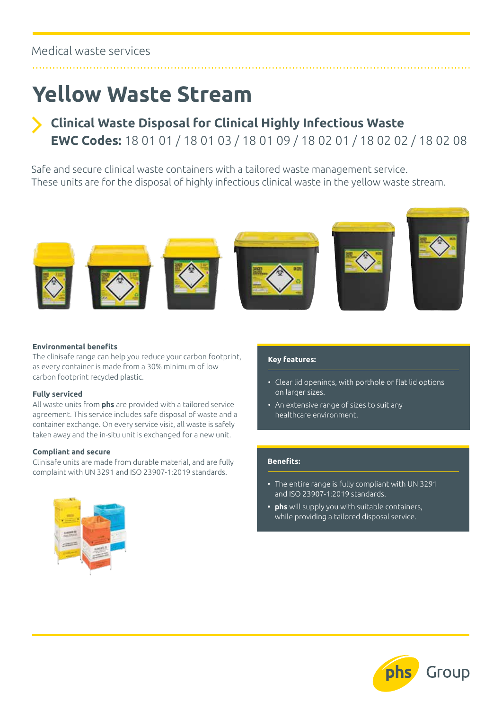### Medical waste services

## **Yellow Waste Stream**

## **Clinical Waste Disposal for Clinical Highly Infectious Waste EWC Codes:** 18 01 01 / 18 01 03 / 18 01 09 / 18 02 01 / 18 02 02 / 18 02 08

Safe and secure clinical waste containers with a tailored waste management service. These units are for the disposal of highly infectious clinical waste in the yellow waste stream.



#### **Environmental benefits**

The clinisafe range can help you reduce your carbon footprint, as every container is made from a 30% minimum of low carbon footprint recycled plastic.

#### **Fully serviced**

All waste units from **phs** are provided with a tailored service agreement. This service includes safe disposal of waste and a container exchange. On every service visit, all waste is safely taken away and the in-situ unit is exchanged for a new unit.

#### **Compliant and secure**

Clinisafe units are made from durable material, and are fully complaint with UN 3291 and ISO 23907-1:2019 standards.



#### **Key features:**

- Clear lid openings, with porthole or flat lid options on larger sizes.
- An extensive range of sizes to suit any healthcare environment.

#### **Benefits:**

- The entire range is fully compliant with UN 3291 and ISO 23907-1:2019 standards.
- **• phs** will supply you with suitable containers, while providing a tailored disposal service.